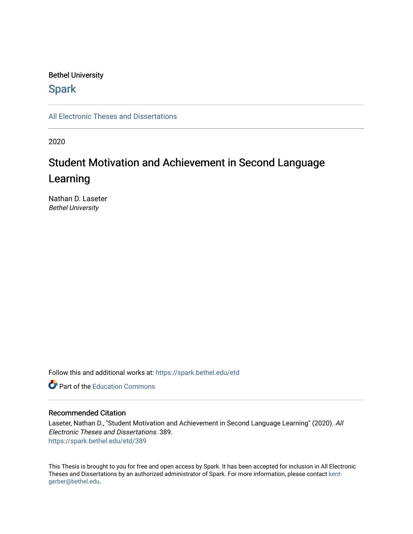## Bethel University

# **Spark**

[All Electronic Theses and Dissertations](https://spark.bethel.edu/etd) 

2020

# Student Motivation and Achievement in Second Language Learning

Nathan D. Laseter Bethel University

Follow this and additional works at: [https://spark.bethel.edu/etd](https://spark.bethel.edu/etd?utm_source=spark.bethel.edu%2Fetd%2F389&utm_medium=PDF&utm_campaign=PDFCoverPages)

**C** Part of the [Education Commons](http://network.bepress.com/hgg/discipline/784?utm_source=spark.bethel.edu%2Fetd%2F389&utm_medium=PDF&utm_campaign=PDFCoverPages)

## Recommended Citation

Laseter, Nathan D., "Student Motivation and Achievement in Second Language Learning" (2020). All Electronic Theses and Dissertations. 389. [https://spark.bethel.edu/etd/389](https://spark.bethel.edu/etd/389?utm_source=spark.bethel.edu%2Fetd%2F389&utm_medium=PDF&utm_campaign=PDFCoverPages)

This Thesis is brought to you for free and open access by Spark. It has been accepted for inclusion in All Electronic Theses and Dissertations by an authorized administrator of Spark. For more information, please contact [kent](mailto:kent-gerber@bethel.edu)[gerber@bethel.edu.](mailto:kent-gerber@bethel.edu)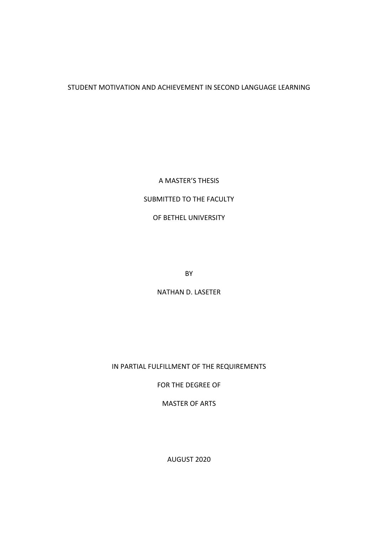## STUDENT MOTIVATION AND ACHIEVEMENT IN SECOND LANGUAGE LEARNING

## A MASTER'S THESIS

# SUBMITTED TO THE FACULTY

## OF BETHEL UNIVERSITY

BY

NATHAN D. LASETER

## IN PARTIAL FULFILLMENT OF THE REQUIREMENTS

FOR THE DEGREE OF

MASTER OF ARTS

AUGUST 2020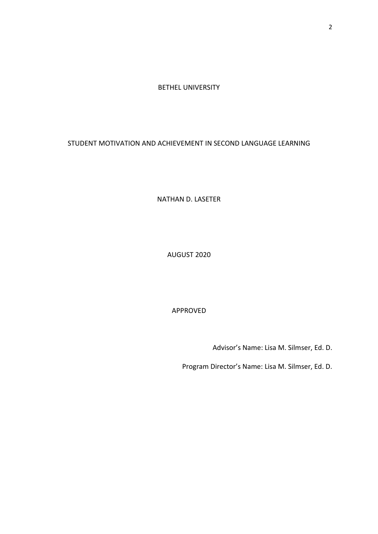BETHEL UNIVERSITY

STUDENT MOTIVATION AND ACHIEVEMENT IN SECOND LANGUAGE LEARNING

NATHAN D. LASETER

AUGUST 2020

APPROVED

Advisor's Name: Lisa M. Silmser, Ed. D.

Program Director's Name: Lisa M. Silmser, Ed. D.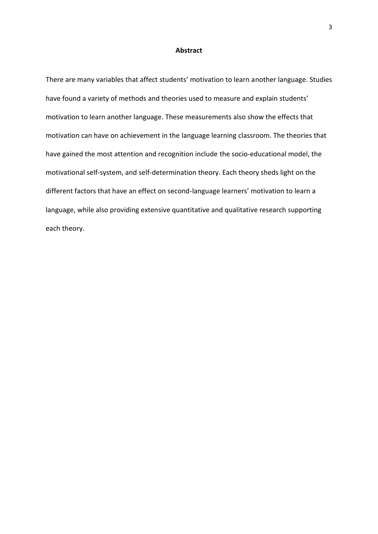#### **Abstract**

<span id="page-3-0"></span>There are many variables that affect students' motivation to learn another language. Studies have found a variety of methods and theories used to measure and explain students' motivation to learn another language. These measurements also show the effects that motivation can have on achievement in the language learning classroom. The theories that have gained the most attention and recognition include the socio-educational model, the motivational self-system, and self-determination theory. Each theory sheds light on the different factors that have an effect on second-language learners' motivation to learn a language, while also providing extensive quantitative and qualitative research supporting each theory.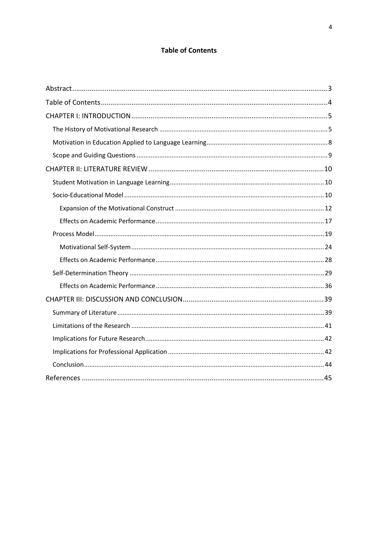## **Table of Contents**

<span id="page-4-0"></span>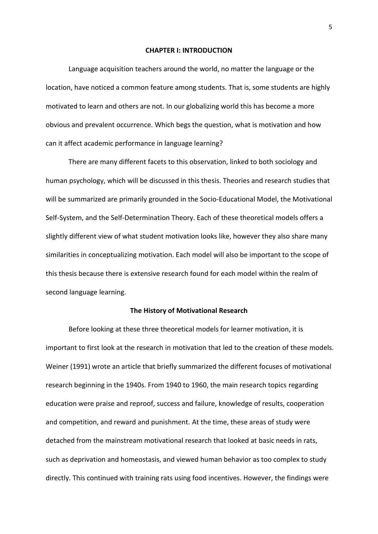#### **CHAPTER I: INTRODUCTION**

<span id="page-5-0"></span> Language acquisition teachers around the world, no matter the language or the location, have noticed a common feature among students. That is, some students are highly motivated to learn and others are not. In our globalizing world this has become a more obvious and prevalent occurrence. Which begs the question, what is motivation and how can it affect academic performance in language learning?

There are many different facets to this observation, linked to both sociology and human psychology, which will be discussed in this thesis. Theories and research studies that will be summarized are primarily grounded in the Socio-Educational Model, the Motivational Self-System, and the Self-Determination Theory. Each of these theoretical models offers a slightly different view of what student motivation looks like, however they also share many similarities in conceptualizing motivation. Each model will also be important to the scope of this thesis because there is extensive research found for each model within the realm of second language learning.

#### **The History of Motivational Research**

<span id="page-5-1"></span> Before looking at these three theoretical models for learner motivation, it is important to first look at the research in motivation that led to the creation of these models. Weiner (1991) wrote an article that briefly summarized the different focuses of motivational research beginning in the 1940s. From 1940 to 1960, the main research topics regarding education were praise and reproof, success and failure, knowledge of results, cooperation and competition, and reward and punishment. At the time, these areas of study were detached from the mainstream motivational research that looked at basic needs in rats, such as deprivation and homeostasis, and viewed human behavior as too complex to study directly. This continued with training rats using food incentives. However, the findings were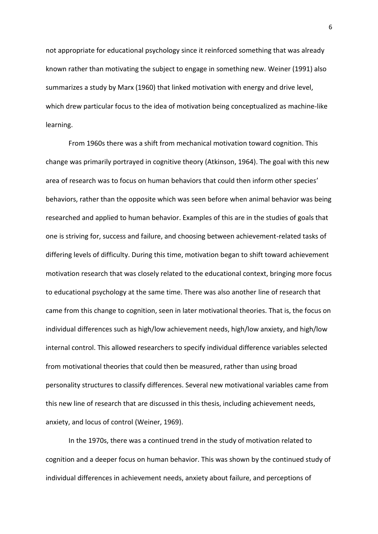not appropriate for educational psychology since it reinforced something that was already known rather than motivating the subject to engage in something new. Weiner (1991) also summarizes a study by Marx (1960) that linked motivation with energy and drive level, which drew particular focus to the idea of motivation being conceptualized as machine-like learning.

 From 1960s there was a shift from mechanical motivation toward cognition. This change was primarily portrayed in cognitive theory (Atkinson, 1964). The goal with this new area of research was to focus on human behaviors that could then inform other species' behaviors, rather than the opposite which was seen before when animal behavior was being researched and applied to human behavior. Examples of this are in the studies of goals that one is striving for, success and failure, and choosing between achievement-related tasks of differing levels of difficulty. During this time, motivation began to shift toward achievement motivation research that was closely related to the educational context, bringing more focus to educational psychology at the same time. There was also another line of research that came from this change to cognition, seen in later motivational theories. That is, the focus on individual differences such as high/low achievement needs, high/low anxiety, and high/low internal control. This allowed researchers to specify individual difference variables selected from motivational theories that could then be measured, rather than using broad personality structures to classify differences. Several new motivational variables came from this new line of research that are discussed in this thesis, including achievement needs, anxiety, and locus of control (Weiner, 1969).

 In the 1970s, there was a continued trend in the study of motivation related to cognition and a deeper focus on human behavior. This was shown by the continued study of individual differences in achievement needs, anxiety about failure, and perceptions of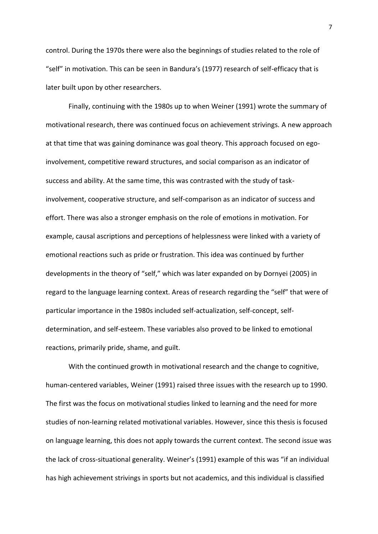control. During the 1970s there were also the beginnings of studies related to the role of "self" in motivation. This can be seen in Bandura's (1977) research of self-efficacy that is later built upon by other researchers.

 Finally, continuing with the 1980s up to when Weiner (1991) wrote the summary of motivational research, there was continued focus on achievement strivings. A new approach at that time that was gaining dominance was goal theory. This approach focused on egoinvolvement, competitive reward structures, and social comparison as an indicator of success and ability. At the same time, this was contrasted with the study of taskinvolvement, cooperative structure, and self-comparison as an indicator of success and effort. There was also a stronger emphasis on the role of emotions in motivation. For example, causal ascriptions and perceptions of helplessness were linked with a variety of emotional reactions such as pride or frustration. This idea was continued by further developments in the theory of "self," which was later expanded on by Dornyei (2005) in regard to the language learning context. Areas of research regarding the "self" that were of particular importance in the 1980s included self-actualization, self-concept, selfdetermination, and self-esteem. These variables also proved to be linked to emotional reactions, primarily pride, shame, and guilt.

With the continued growth in motivational research and the change to cognitive, human-centered variables, Weiner (1991) raised three issues with the research up to 1990. The first was the focus on motivational studies linked to learning and the need for more studies of non-learning related motivational variables. However, since this thesis is focused on language learning, this does not apply towards the current context. The second issue was the lack of cross-situational generality. Weiner's (1991) example of this was "if an individual has high achievement strivings in sports but not academics, and this individual is classified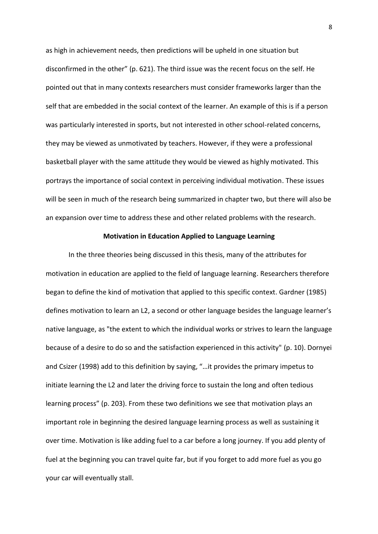as high in achievement needs, then predictions will be upheld in one situation but disconfirmed in the other" (p. 621). The third issue was the recent focus on the self. He pointed out that in many contexts researchers must consider frameworks larger than the self that are embedded in the social context of the learner. An example of this is if a person was particularly interested in sports, but not interested in other school-related concerns, they may be viewed as unmotivated by teachers. However, if they were a professional basketball player with the same attitude they would be viewed as highly motivated. This portrays the importance of social context in perceiving individual motivation. These issues will be seen in much of the research being summarized in chapter two, but there will also be an expansion over time to address these and other related problems with the research.

#### **Motivation in Education Applied to Language Learning**

<span id="page-8-0"></span>In the three theories being discussed in this thesis, many of the attributes for motivation in education are applied to the field of language learning. Researchers therefore began to define the kind of motivation that applied to this specific context. Gardner (1985) defines motivation to learn an L2, a second or other language besides the language learner's native language, as "the extent to which the individual works or strives to learn the language because of a desire to do so and the satisfaction experienced in this activity" (p. 10). Dornyei and Csizer (1998) add to this definition by saying, "…it provides the primary impetus to initiate learning the L2 and later the driving force to sustain the long and often tedious learning process" (p. 203). From these two definitions we see that motivation plays an important role in beginning the desired language learning process as well as sustaining it over time. Motivation is like adding fuel to a car before a long journey. If you add plenty of fuel at the beginning you can travel quite far, but if you forget to add more fuel as you go your car will eventually stall.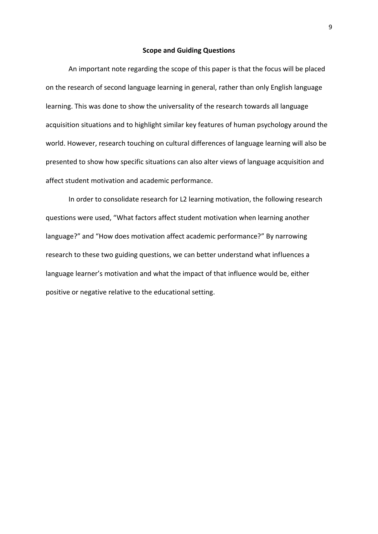#### **Scope and Guiding Questions**

<span id="page-9-0"></span>An important note regarding the scope of this paper is that the focus will be placed on the research of second language learning in general, rather than only English language learning. This was done to show the universality of the research towards all language acquisition situations and to highlight similar key features of human psychology around the world. However, research touching on cultural differences of language learning will also be presented to show how specific situations can also alter views of language acquisition and affect student motivation and academic performance.

 In order to consolidate research for L2 learning motivation, the following research questions were used, "What factors affect student motivation when learning another language?" and "How does motivation affect academic performance?" By narrowing research to these two guiding questions, we can better understand what influences a language learner's motivation and what the impact of that influence would be, either positive or negative relative to the educational setting.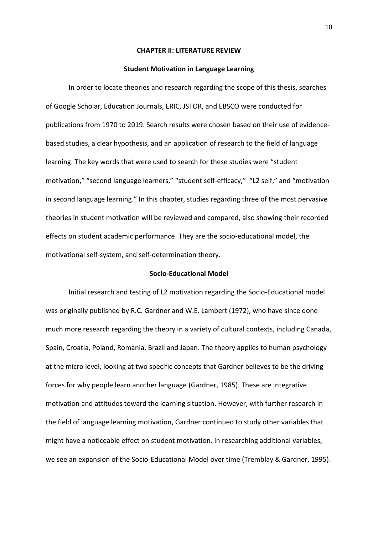#### **CHAPTER II: LITERATURE REVIEW**

#### **Student Motivation in Language Learning**

<span id="page-10-1"></span><span id="page-10-0"></span>In order to locate theories and research regarding the scope of this thesis, searches of Google Scholar, Education Journals, ERIC, JSTOR, and EBSCO were conducted for publications from 1970 to 2019. Search results were chosen based on their use of evidencebased studies, a clear hypothesis, and an application of research to the field of language learning. The key words that were used to search for these studies were "student motivation," "second language learners," "student self-efficacy," "L2 self," and "motivation in second language learning." In this chapter, studies regarding three of the most pervasive theories in student motivation will be reviewed and compared, also showing their recorded effects on student academic performance. They are the socio-educational model, the motivational self-system, and self-determination theory.

#### **Socio-Educational Model**

<span id="page-10-2"></span>Initial research and testing of L2 motivation regarding the Socio-Educational model was originally published by R.C. Gardner and W.E. Lambert (1972), who have since done much more research regarding the theory in a variety of cultural contexts, including Canada, Spain, Croatia, Poland, Romania, Brazil and Japan. The theory applies to human psychology at the micro level, looking at two specific concepts that Gardner believes to be the driving forces for why people learn another language (Gardner, 1985). These are integrative motivation and attitudes toward the learning situation. However, with further research in the field of language learning motivation, Gardner continued to study other variables that might have a noticeable effect on student motivation. In researching additional variables, we see an expansion of the Socio-Educational Model over time (Tremblay & Gardner, 1995).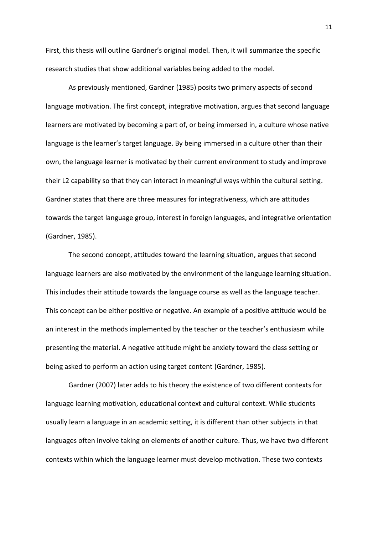First, this thesis will outline Gardner's original model. Then, it will summarize the specific research studies that show additional variables being added to the model.

As previously mentioned, Gardner (1985) posits two primary aspects of second language motivation. The first concept, integrative motivation, argues that second language learners are motivated by becoming a part of, or being immersed in, a culture whose native language is the learner's target language. By being immersed in a culture other than their own, the language learner is motivated by their current environment to study and improve their L2 capability so that they can interact in meaningful ways within the cultural setting. Gardner states that there are three measures for integrativeness, which are attitudes towards the target language group, interest in foreign languages, and integrative orientation (Gardner, 1985).

The second concept, attitudes toward the learning situation, argues that second language learners are also motivated by the environment of the language learning situation. This includes their attitude towards the language course as well as the language teacher. This concept can be either positive or negative. An example of a positive attitude would be an interest in the methods implemented by the teacher or the teacher's enthusiasm while presenting the material. A negative attitude might be anxiety toward the class setting or being asked to perform an action using target content (Gardner, 1985).

Gardner (2007) later adds to his theory the existence of two different contexts for language learning motivation, educational context and cultural context. While students usually learn a language in an academic setting, it is different than other subjects in that languages often involve taking on elements of another culture. Thus, we have two different contexts within which the language learner must develop motivation. These two contexts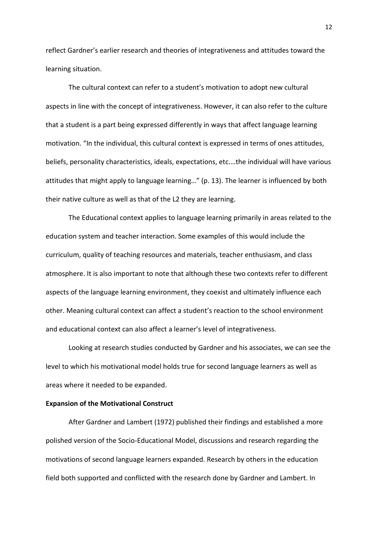reflect Gardner's earlier research and theories of integrativeness and attitudes toward the learning situation.

The cultural context can refer to a student's motivation to adopt new cultural aspects in line with the concept of integrativeness. However, it can also refer to the culture that a student is a part being expressed differently in ways that affect language learning motivation. "In the individual, this cultural context is expressed in terms of ones attitudes, beliefs, personality characteristics, ideals, expectations, etc.…the individual will have various attitudes that might apply to language learning…" (p. 13). The learner is influenced by both their native culture as well as that of the L2 they are learning.

The Educational context applies to language learning primarily in areas related to the education system and teacher interaction. Some examples of this would include the curriculum, quality of teaching resources and materials, teacher enthusiasm, and class atmosphere. It is also important to note that although these two contexts refer to different aspects of the language learning environment, they coexist and ultimately influence each other. Meaning cultural context can affect a student's reaction to the school environment and educational context can also affect a learner's level of integrativeness.

Looking at research studies conducted by Gardner and his associates, we can see the level to which his motivational model holds true for second language learners as well as areas where it needed to be expanded.

#### <span id="page-12-0"></span>**Expansion of the Motivational Construct**

 After Gardner and Lambert (1972) published their findings and established a more polished version of the Socio-Educational Model, discussions and research regarding the motivations of second language learners expanded. Research by others in the education field both supported and conflicted with the research done by Gardner and Lambert. In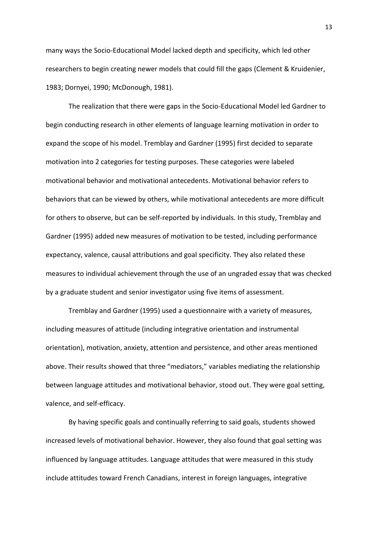many ways the Socio-Educational Model lacked depth and specificity, which led other researchers to begin creating newer models that could fill the gaps (Clement & Kruidenier, 1983; Dornyei, 1990; McDonough, 1981).

 The realization that there were gaps in the Socio-Educational Model led Gardner to begin conducting research in other elements of language learning motivation in order to expand the scope of his model. Tremblay and Gardner (1995) first decided to separate motivation into 2 categories for testing purposes. These categories were labeled motivational behavior and motivational antecedents. Motivational behavior refers to behaviors that can be viewed by others, while motivational antecedents are more difficult for others to observe, but can be self-reported by individuals. In this study, Tremblay and Gardner (1995) added new measures of motivation to be tested, including performance expectancy, valence, causal attributions and goal specificity. They also related these measures to individual achievement through the use of an ungraded essay that was checked by a graduate student and senior investigator using five items of assessment.

 Tremblay and Gardner (1995) used a questionnaire with a variety of measures, including measures of attitude (including integrative orientation and instrumental orientation), motivation, anxiety, attention and persistence, and other areas mentioned above. Their results showed that three "mediators," variables mediating the relationship between language attitudes and motivational behavior, stood out. They were goal setting, valence, and self-efficacy.

By having specific goals and continually referring to said goals, students showed increased levels of motivational behavior. However, they also found that goal setting was influenced by language attitudes. Language attitudes that were measured in this study include attitudes toward French Canadians, interest in foreign languages, integrative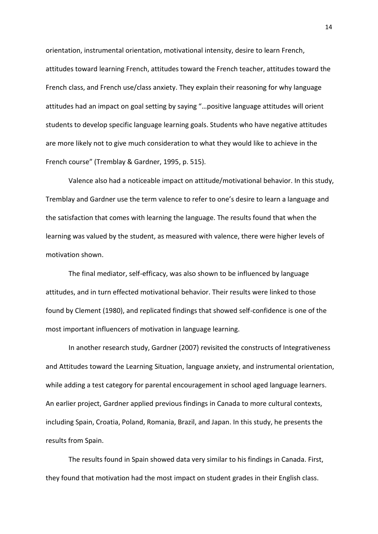orientation, instrumental orientation, motivational intensity, desire to learn French, attitudes toward learning French, attitudes toward the French teacher, attitudes toward the French class, and French use/class anxiety. They explain their reasoning for why language attitudes had an impact on goal setting by saying "…positive language attitudes will orient students to develop specific language learning goals. Students who have negative attitudes are more likely not to give much consideration to what they would like to achieve in the French course" (Tremblay & Gardner, 1995, p. 515).

Valence also had a noticeable impact on attitude/motivational behavior. In this study, Tremblay and Gardner use the term valence to refer to one's desire to learn a language and the satisfaction that comes with learning the language. The results found that when the learning was valued by the student, as measured with valence, there were higher levels of motivation shown.

The final mediator, self-efficacy, was also shown to be influenced by language attitudes, and in turn effected motivational behavior. Their results were linked to those found by Clement (1980), and replicated findings that showed self-confidence is one of the most important influencers of motivation in language learning.

 In another research study, Gardner (2007) revisited the constructs of Integrativeness and Attitudes toward the Learning Situation, language anxiety, and instrumental orientation, while adding a test category for parental encouragement in school aged language learners. An earlier project, Gardner applied previous findings in Canada to more cultural contexts, including Spain, Croatia, Poland, Romania, Brazil, and Japan. In this study, he presents the results from Spain.

 The results found in Spain showed data very similar to his findings in Canada. First, they found that motivation had the most impact on student grades in their English class.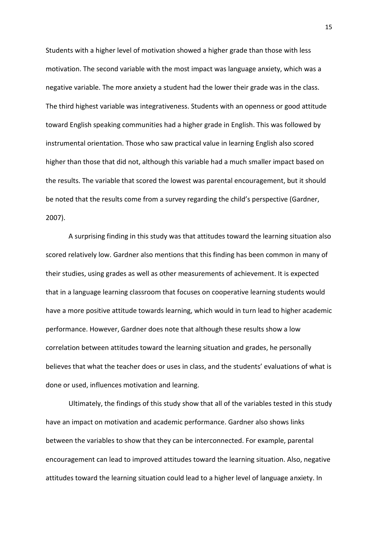Students with a higher level of motivation showed a higher grade than those with less motivation. The second variable with the most impact was language anxiety, which was a negative variable. The more anxiety a student had the lower their grade was in the class. The third highest variable was integrativeness. Students with an openness or good attitude toward English speaking communities had a higher grade in English. This was followed by instrumental orientation. Those who saw practical value in learning English also scored higher than those that did not, although this variable had a much smaller impact based on the results. The variable that scored the lowest was parental encouragement, but it should be noted that the results come from a survey regarding the child's perspective (Gardner, 2007).

 A surprising finding in this study was that attitudes toward the learning situation also scored relatively low. Gardner also mentions that this finding has been common in many of their studies, using grades as well as other measurements of achievement. It is expected that in a language learning classroom that focuses on cooperative learning students would have a more positive attitude towards learning, which would in turn lead to higher academic performance. However, Gardner does note that although these results show a low correlation between attitudes toward the learning situation and grades, he personally believes that what the teacher does or uses in class, and the students' evaluations of what is done or used, influences motivation and learning.

 Ultimately, the findings of this study show that all of the variables tested in this study have an impact on motivation and academic performance. Gardner also shows links between the variables to show that they can be interconnected. For example, parental encouragement can lead to improved attitudes toward the learning situation. Also, negative attitudes toward the learning situation could lead to a higher level of language anxiety. In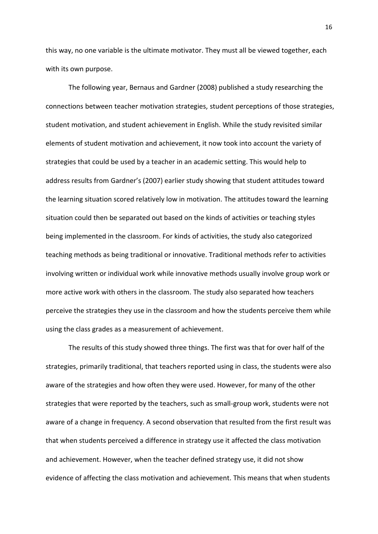this way, no one variable is the ultimate motivator. They must all be viewed together, each with its own purpose.

 The following year, Bernaus and Gardner (2008) published a study researching the connections between teacher motivation strategies, student perceptions of those strategies, student motivation, and student achievement in English. While the study revisited similar elements of student motivation and achievement, it now took into account the variety of strategies that could be used by a teacher in an academic setting. This would help to address results from Gardner's (2007) earlier study showing that student attitudes toward the learning situation scored relatively low in motivation. The attitudes toward the learning situation could then be separated out based on the kinds of activities or teaching styles being implemented in the classroom. For kinds of activities, the study also categorized teaching methods as being traditional or innovative. Traditional methods refer to activities involving written or individual work while innovative methods usually involve group work or more active work with others in the classroom. The study also separated how teachers perceive the strategies they use in the classroom and how the students perceive them while using the class grades as a measurement of achievement.

 The results of this study showed three things. The first was that for over half of the strategies, primarily traditional, that teachers reported using in class, the students were also aware of the strategies and how often they were used. However, for many of the other strategies that were reported by the teachers, such as small-group work, students were not aware of a change in frequency. A second observation that resulted from the first result was that when students perceived a difference in strategy use it affected the class motivation and achievement. However, when the teacher defined strategy use, it did not show evidence of affecting the class motivation and achievement. This means that when students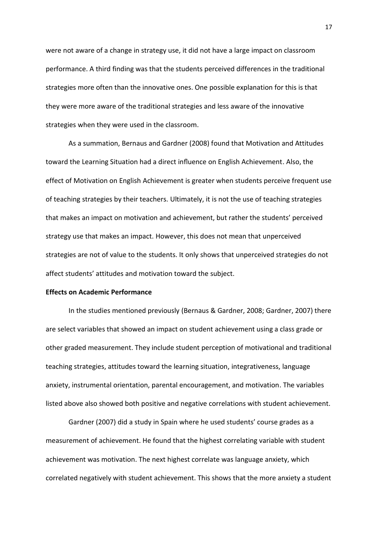were not aware of a change in strategy use, it did not have a large impact on classroom performance. A third finding was that the students perceived differences in the traditional strategies more often than the innovative ones. One possible explanation for this is that they were more aware of the traditional strategies and less aware of the innovative strategies when they were used in the classroom.

 As a summation, Bernaus and Gardner (2008) found that Motivation and Attitudes toward the Learning Situation had a direct influence on English Achievement. Also, the effect of Motivation on English Achievement is greater when students perceive frequent use of teaching strategies by their teachers. Ultimately, it is not the use of teaching strategies that makes an impact on motivation and achievement, but rather the students' perceived strategy use that makes an impact. However, this does not mean that unperceived strategies are not of value to the students. It only shows that unperceived strategies do not affect students' attitudes and motivation toward the subject.

#### <span id="page-17-0"></span>**Effects on Academic Performance**

 In the studies mentioned previously (Bernaus & Gardner, 2008; Gardner, 2007) there are select variables that showed an impact on student achievement using a class grade or other graded measurement. They include student perception of motivational and traditional teaching strategies, attitudes toward the learning situation, integrativeness, language anxiety, instrumental orientation, parental encouragement, and motivation. The variables listed above also showed both positive and negative correlations with student achievement.

 Gardner (2007) did a study in Spain where he used students' course grades as a measurement of achievement. He found that the highest correlating variable with student achievement was motivation. The next highest correlate was language anxiety, which correlated negatively with student achievement. This shows that the more anxiety a student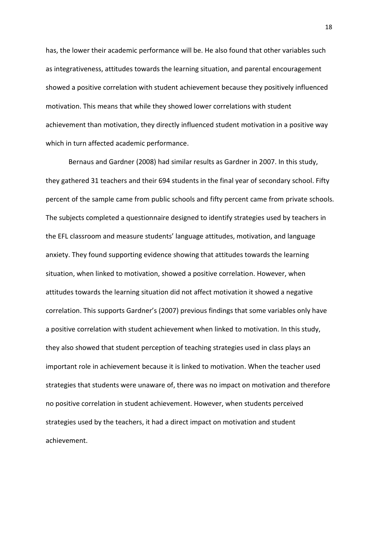has, the lower their academic performance will be. He also found that other variables such as integrativeness, attitudes towards the learning situation, and parental encouragement showed a positive correlation with student achievement because they positively influenced motivation. This means that while they showed lower correlations with student achievement than motivation, they directly influenced student motivation in a positive way which in turn affected academic performance.

 Bernaus and Gardner (2008) had similar results as Gardner in 2007. In this study, they gathered 31 teachers and their 694 students in the final year of secondary school. Fifty percent of the sample came from public schools and fifty percent came from private schools. The subjects completed a questionnaire designed to identify strategies used by teachers in the EFL classroom and measure students' language attitudes, motivation, and language anxiety. They found supporting evidence showing that attitudes towards the learning situation, when linked to motivation, showed a positive correlation. However, when attitudes towards the learning situation did not affect motivation it showed a negative correlation. This supports Gardner's (2007) previous findings that some variables only have a positive correlation with student achievement when linked to motivation. In this study, they also showed that student perception of teaching strategies used in class plays an important role in achievement because it is linked to motivation. When the teacher used strategies that students were unaware of, there was no impact on motivation and therefore no positive correlation in student achievement. However, when students perceived strategies used by the teachers, it had a direct impact on motivation and student achievement.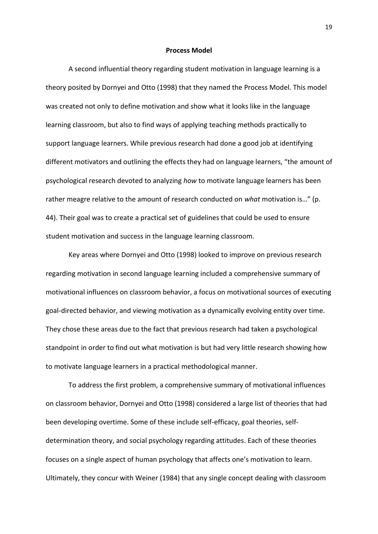#### **Process Model**

<span id="page-19-0"></span>A second influential theory regarding student motivation in language learning is a theory posited by Dornyei and Otto (1998) that they named the Process Model. This model was created not only to define motivation and show what it looks like in the language learning classroom, but also to find ways of applying teaching methods practically to support language learners. While previous research had done a good job at identifying different motivators and outlining the effects they had on language learners, "the amount of psychological research devoted to analyzing *how* to motivate language learners has been rather meagre relative to the amount of research conducted on *what* motivation is…" (p. 44). Their goal was to create a practical set of guidelines that could be used to ensure student motivation and success in the language learning classroom.

Key areas where Dornyei and Otto (1998) looked to improve on previous research regarding motivation in second language learning included a comprehensive summary of motivational influences on classroom behavior, a focus on motivational sources of executing goal-directed behavior, and viewing motivation as a dynamically evolving entity over time. They chose these areas due to the fact that previous research had taken a psychological standpoint in order to find out what motivation is but had very little research showing how to motivate language learners in a practical methodological manner.

To address the first problem, a comprehensive summary of motivational influences on classroom behavior, Dornyei and Otto (1998) considered a large list of theories that had been developing overtime. Some of these include self-efficacy, goal theories, selfdetermination theory, and social psychology regarding attitudes. Each of these theories focuses on a single aspect of human psychology that affects one's motivation to learn. Ultimately, they concur with Weiner (1984) that any single concept dealing with classroom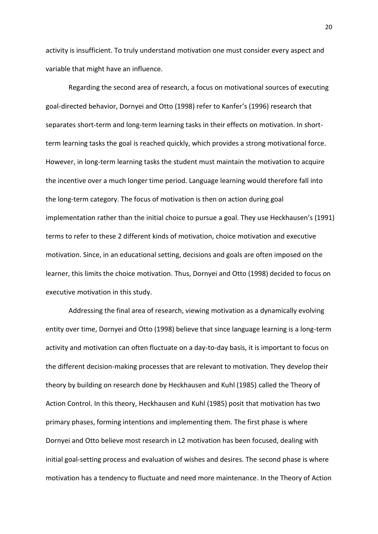activity is insufficient. To truly understand motivation one must consider every aspect and variable that might have an influence.

Regarding the second area of research, a focus on motivational sources of executing goal-directed behavior, Dornyei and Otto (1998) refer to Kanfer's (1996) research that separates short-term and long-term learning tasks in their effects on motivation. In shortterm learning tasks the goal is reached quickly, which provides a strong motivational force. However, in long-term learning tasks the student must maintain the motivation to acquire the incentive over a much longer time period. Language learning would therefore fall into the long-term category. The focus of motivation is then on action during goal implementation rather than the initial choice to pursue a goal. They use Heckhausen's (1991) terms to refer to these 2 different kinds of motivation, choice motivation and executive motivation. Since, in an educational setting, decisions and goals are often imposed on the learner, this limits the choice motivation. Thus, Dornyei and Otto (1998) decided to focus on executive motivation in this study.

Addressing the final area of research, viewing motivation as a dynamically evolving entity over time, Dornyei and Otto (1998) believe that since language learning is a long-term activity and motivation can often fluctuate on a day-to-day basis, it is important to focus on the different decision-making processes that are relevant to motivation. They develop their theory by building on research done by Heckhausen and Kuhl (1985) called the Theory of Action Control. In this theory, Heckhausen and Kuhl (1985) posit that motivation has two primary phases, forming intentions and implementing them. The first phase is where Dornyei and Otto believe most research in L2 motivation has been focused, dealing with initial goal-setting process and evaluation of wishes and desires. The second phase is where motivation has a tendency to fluctuate and need more maintenance. In the Theory of Action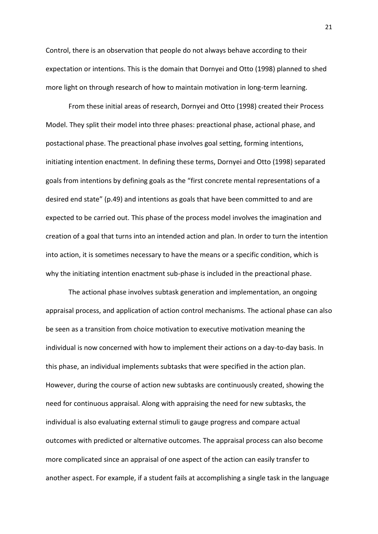Control, there is an observation that people do not always behave according to their expectation or intentions. This is the domain that Dornyei and Otto (1998) planned to shed more light on through research of how to maintain motivation in long-term learning.

From these initial areas of research, Dornyei and Otto (1998) created their Process Model. They split their model into three phases: preactional phase, actional phase, and postactional phase. The preactional phase involves goal setting, forming intentions, initiating intention enactment. In defining these terms, Dornyei and Otto (1998) separated goals from intentions by defining goals as the "first concrete mental representations of a desired end state" (p.49) and intentions as goals that have been committed to and are expected to be carried out. This phase of the process model involves the imagination and creation of a goal that turns into an intended action and plan. In order to turn the intention into action, it is sometimes necessary to have the means or a specific condition, which is why the initiating intention enactment sub-phase is included in the preactional phase.

The actional phase involves subtask generation and implementation, an ongoing appraisal process, and application of action control mechanisms. The actional phase can also be seen as a transition from choice motivation to executive motivation meaning the individual is now concerned with how to implement their actions on a day-to-day basis. In this phase, an individual implements subtasks that were specified in the action plan. However, during the course of action new subtasks are continuously created, showing the need for continuous appraisal. Along with appraising the need for new subtasks, the individual is also evaluating external stimuli to gauge progress and compare actual outcomes with predicted or alternative outcomes. The appraisal process can also become more complicated since an appraisal of one aspect of the action can easily transfer to another aspect. For example, if a student fails at accomplishing a single task in the language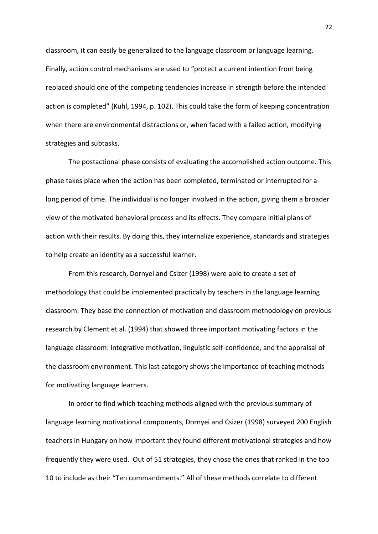classroom, it can easily be generalized to the language classroom or language learning. Finally, action control mechanisms are used to "protect a current intention from being replaced should one of the competing tendencies increase in strength before the intended action is completed" (Kuhl, 1994, p. 102). This could take the form of keeping concentration when there are environmental distractions or, when faced with a failed action, modifying strategies and subtasks.

The postactional phase consists of evaluating the accomplished action outcome. This phase takes place when the action has been completed, terminated or interrupted for a long period of time. The individual is no longer involved in the action, giving them a broader view of the motivated behavioral process and its effects. They compare initial plans of action with their results. By doing this, they internalize experience, standards and strategies to help create an identity as a successful learner.

From this research, Dornyei and Csizer (1998) were able to create a set of methodology that could be implemented practically by teachers in the language learning classroom. They base the connection of motivation and classroom methodology on previous research by Clement et al. (1994) that showed three important motivating factors in the language classroom: integrative motivation, linguistic self-confidence, and the appraisal of the classroom environment. This last category shows the importance of teaching methods for motivating language learners.

In order to find which teaching methods aligned with the previous summary of language learning motivational components, Dornyei and Csizer (1998) surveyed 200 English teachers in Hungary on how important they found different motivational strategies and how frequently they were used. Out of 51 strategies, they chose the ones that ranked in the top 10 to include as their "Ten commandments." All of these methods correlate to different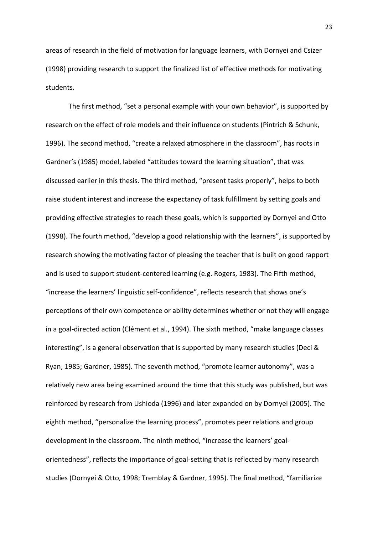areas of research in the field of motivation for language learners, with Dornyei and Csizer (1998) providing research to support the finalized list of effective methods for motivating students.

The first method, "set a personal example with your own behavior", is supported by research on the effect of role models and their influence on students (Pintrich & Schunk, 1996). The second method, "create a relaxed atmosphere in the classroom", has roots in Gardner's (1985) model, labeled "attitudes toward the learning situation", that was discussed earlier in this thesis. The third method, "present tasks properly", helps to both raise student interest and increase the expectancy of task fulfillment by setting goals and providing effective strategies to reach these goals, which is supported by Dornyei and Otto (1998). The fourth method, "develop a good relationship with the learners", is supported by research showing the motivating factor of pleasing the teacher that is built on good rapport and is used to support student-centered learning (e.g. Rogers, 1983). The Fifth method, "increase the learners' linguistic self-confidence", reflects research that shows one's perceptions of their own competence or ability determines whether or not they will engage in a goal-directed action (Clément et al., 1994). The sixth method, "make language classes interesting", is a general observation that is supported by many research studies (Deci & Ryan, 1985; Gardner, 1985). The seventh method, "promote learner autonomy", was a relatively new area being examined around the time that this study was published, but was reinforced by research from Ushioda (1996) and later expanded on by Dornyei (2005). The eighth method, "personalize the learning process", promotes peer relations and group development in the classroom. The ninth method, "increase the learners' goalorientedness", reflects the importance of goal-setting that is reflected by many research studies (Dornyei & Otto, 1998; Tremblay & Gardner, 1995). The final method, "familiarize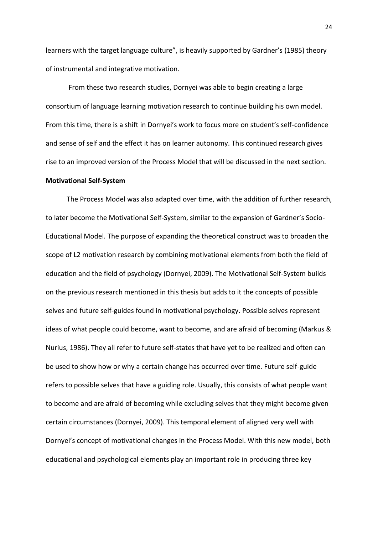learners with the target language culture", is heavily supported by Gardner's (1985) theory of instrumental and integrative motivation.

From these two research studies, Dornyei was able to begin creating a large consortium of language learning motivation research to continue building his own model. From this time, there is a shift in Dornyei's work to focus more on student's self-confidence and sense of self and the effect it has on learner autonomy. This continued research gives rise to an improved version of the Process Model that will be discussed in the next section.

#### <span id="page-24-0"></span>**Motivational Self-System**

The Process Model was also adapted over time, with the addition of further research, to later become the Motivational Self-System, similar to the expansion of Gardner's Socio-Educational Model. The purpose of expanding the theoretical construct was to broaden the scope of L2 motivation research by combining motivational elements from both the field of education and the field of psychology (Dornyei, 2009). The Motivational Self-System builds on the previous research mentioned in this thesis but adds to it the concepts of possible selves and future self-guides found in motivational psychology. Possible selves represent ideas of what people could become, want to become, and are afraid of becoming (Markus & Nurius, 1986). They all refer to future self-states that have yet to be realized and often can be used to show how or why a certain change has occurred over time. Future self-guide refers to possible selves that have a guiding role. Usually, this consists of what people want to become and are afraid of becoming while excluding selves that they might become given certain circumstances (Dornyei, 2009). This temporal element of aligned very well with Dornyei's concept of motivational changes in the Process Model. With this new model, both educational and psychological elements play an important role in producing three key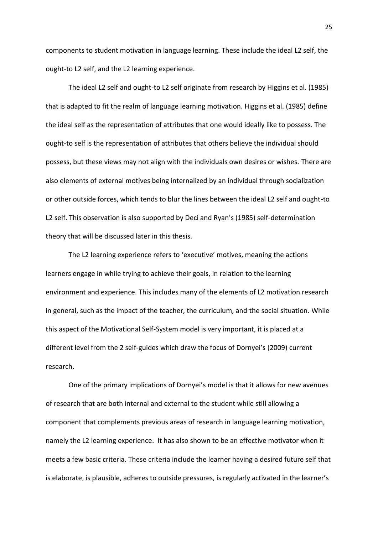components to student motivation in language learning. These include the ideal L2 self, the ought-to L2 self, and the L2 learning experience.

 The ideal L2 self and ought-to L2 self originate from research by Higgins et al. (1985) that is adapted to fit the realm of language learning motivation. Higgins et al. (1985) define the ideal self as the representation of attributes that one would ideally like to possess. The ought-to self is the representation of attributes that others believe the individual should possess, but these views may not align with the individuals own desires or wishes. There are also elements of external motives being internalized by an individual through socialization or other outside forces, which tends to blur the lines between the ideal L2 self and ought-to L2 self. This observation is also supported by Deci and Ryan's (1985) self-determination theory that will be discussed later in this thesis.

 The L2 learning experience refers to 'executive' motives, meaning the actions learners engage in while trying to achieve their goals, in relation to the learning environment and experience. This includes many of the elements of L2 motivation research in general, such as the impact of the teacher, the curriculum, and the social situation. While this aspect of the Motivational Self-System model is very important, it is placed at a different level from the 2 self-guides which draw the focus of Dornyei's (2009) current research.

One of the primary implications of Dornyei's model is that it allows for new avenues of research that are both internal and external to the student while still allowing a component that complements previous areas of research in language learning motivation, namely the L2 learning experience. It has also shown to be an effective motivator when it meets a few basic criteria. These criteria include the learner having a desired future self that is elaborate, is plausible, adheres to outside pressures, is regularly activated in the learner's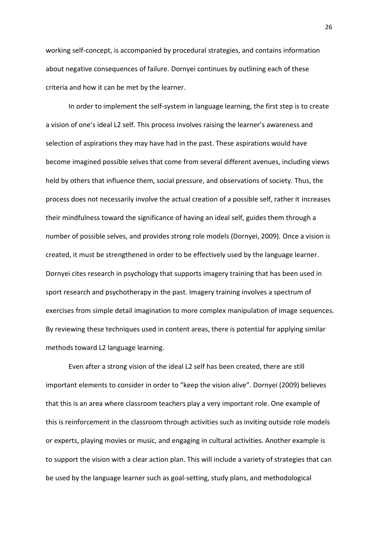working self-concept, is accompanied by procedural strategies, and contains information about negative consequences of failure. Dornyei continues by outlining each of these criteria and how it can be met by the learner.

 In order to implement the self-system in language learning, the first step is to create a vision of one's ideal L2 self. This process involves raising the learner's awareness and selection of aspirations they may have had in the past. These aspirations would have become imagined possible selves that come from several different avenues, including views held by others that influence them, social pressure, and observations of society. Thus, the process does not necessarily involve the actual creation of a possible self, rather it increases their mindfulness toward the significance of having an ideal self, guides them through a number of possible selves, and provides strong role models (Dornyei, 2009). Once a vision is created, it must be strengthened in order to be effectively used by the language learner. Dornyei cites research in psychology that supports imagery training that has been used in sport research and psychotherapy in the past. Imagery training involves a spectrum of exercises from simple detail imagination to more complex manipulation of image sequences. By reviewing these techniques used in content areas, there is potential for applying similar methods toward L2 language learning.

Even after a strong vision of the ideal L2 self has been created, there are still important elements to consider in order to "keep the vision alive". Dornyei (2009) believes that this is an area where classroom teachers play a very important role. One example of this is reinforcement in the classroom through activities such as inviting outside role models or experts, playing movies or music, and engaging in cultural activities. Another example is to support the vision with a clear action plan. This will include a variety of strategies that can be used by the language learner such as goal-setting, study plans, and methodological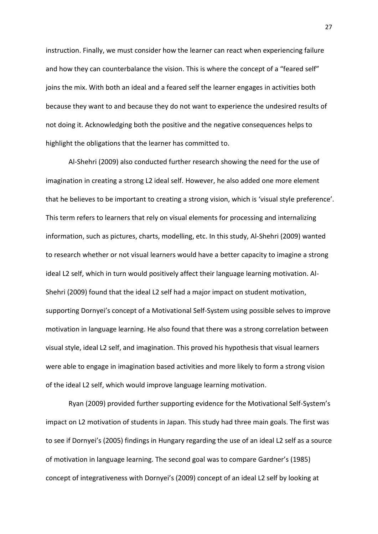instruction. Finally, we must consider how the learner can react when experiencing failure and how they can counterbalance the vision. This is where the concept of a "feared self" joins the mix. With both an ideal and a feared self the learner engages in activities both because they want to and because they do not want to experience the undesired results of not doing it. Acknowledging both the positive and the negative consequences helps to highlight the obligations that the learner has committed to.

Al-Shehri (2009) also conducted further research showing the need for the use of imagination in creating a strong L2 ideal self. However, he also added one more element that he believes to be important to creating a strong vision, which is 'visual style preference'. This term refers to learners that rely on visual elements for processing and internalizing information, such as pictures, charts, modelling, etc. In this study, Al-Shehri (2009) wanted to research whether or not visual learners would have a better capacity to imagine a strong ideal L2 self, which in turn would positively affect their language learning motivation. Al-Shehri (2009) found that the ideal L2 self had a major impact on student motivation, supporting Dornyei's concept of a Motivational Self-System using possible selves to improve motivation in language learning. He also found that there was a strong correlation between visual style, ideal L2 self, and imagination. This proved his hypothesis that visual learners were able to engage in imagination based activities and more likely to form a strong vision of the ideal L2 self, which would improve language learning motivation.

Ryan (2009) provided further supporting evidence for the Motivational Self-System's impact on L2 motivation of students in Japan. This study had three main goals. The first was to see if Dornyei's (2005) findings in Hungary regarding the use of an ideal L2 self as a source of motivation in language learning. The second goal was to compare Gardner's (1985) concept of integrativeness with Dornyei's (2009) concept of an ideal L2 self by looking at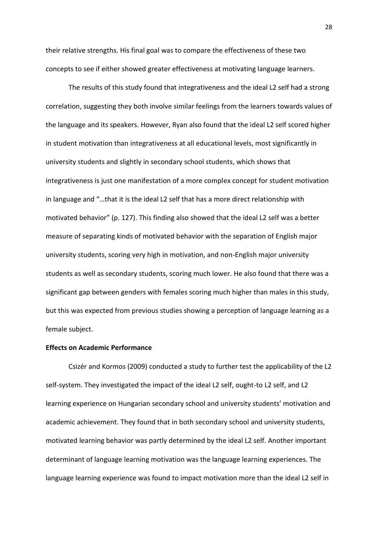their relative strengths. His final goal was to compare the effectiveness of these two concepts to see if either showed greater effectiveness at motivating language learners.

The results of this study found that integrativeness and the ideal L2 self had a strong correlation, suggesting they both involve similar feelings from the learners towards values of the language and its speakers. However, Ryan also found that the ideal L2 self scored higher in student motivation than integrativeness at all educational levels, most significantly in university students and slightly in secondary school students, which shows that integrativeness is just one manifestation of a more complex concept for student motivation in language and "…that it is the ideal L2 self that has a more direct relationship with motivated behavior" (p. 127). This finding also showed that the ideal L2 self was a better measure of separating kinds of motivated behavior with the separation of English major university students, scoring very high in motivation, and non-English major university students as well as secondary students, scoring much lower. He also found that there was a significant gap between genders with females scoring much higher than males in this study, but this was expected from previous studies showing a perception of language learning as a female subject.

#### <span id="page-28-0"></span>**Effects on Academic Performance**

 Csizér and Kormos (2009) conducted a study to further test the applicability of the L2 self-system. They investigated the impact of the ideal L2 self, ought-to L2 self, and L2 learning experience on Hungarian secondary school and university students' motivation and academic achievement. They found that in both secondary school and university students, motivated learning behavior was partly determined by the ideal L2 self. Another important determinant of language learning motivation was the language learning experiences. The language learning experience was found to impact motivation more than the ideal L2 self in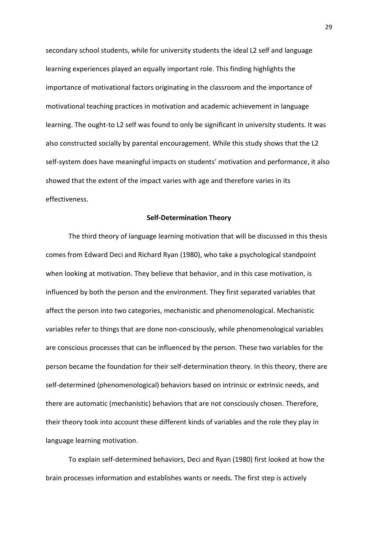secondary school students, while for university students the ideal L2 self and language learning experiences played an equally important role. This finding highlights the importance of motivational factors originating in the classroom and the importance of motivational teaching practices in motivation and academic achievement in language learning. The ought-to L2 self was found to only be significant in university students. It was also constructed socially by parental encouragement. While this study shows that the L2 self-system does have meaningful impacts on students' motivation and performance, it also showed that the extent of the impact varies with age and therefore varies in its effectiveness.

#### **Self-Determination Theory**

<span id="page-29-0"></span>The third theory of language learning motivation that will be discussed in this thesis comes from Edward Deci and Richard Ryan (1980), who take a psychological standpoint when looking at motivation. They believe that behavior, and in this case motivation, is influenced by both the person and the environment. They first separated variables that affect the person into two categories, mechanistic and phenomenological. Mechanistic variables refer to things that are done non-consciously, while phenomenological variables are conscious processes that can be influenced by the person. These two variables for the person became the foundation for their self-determination theory. In this theory, there are self-determined (phenomenological) behaviors based on intrinsic or extrinsic needs, and there are automatic (mechanistic) behaviors that are not consciously chosen. Therefore, their theory took into account these different kinds of variables and the role they play in language learning motivation.

To explain self-determined behaviors, Deci and Ryan (1980) first looked at how the brain processes information and establishes wants or needs. The first step is actively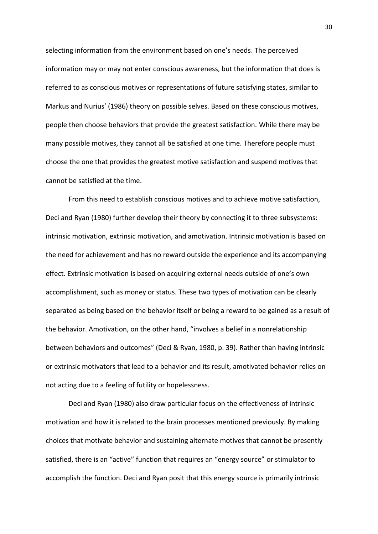selecting information from the environment based on one's needs. The perceived information may or may not enter conscious awareness, but the information that does is referred to as conscious motives or representations of future satisfying states, similar to Markus and Nurius' (1986) theory on possible selves. Based on these conscious motives, people then choose behaviors that provide the greatest satisfaction. While there may be many possible motives, they cannot all be satisfied at one time. Therefore people must choose the one that provides the greatest motive satisfaction and suspend motives that cannot be satisfied at the time.

From this need to establish conscious motives and to achieve motive satisfaction, Deci and Ryan (1980) further develop their theory by connecting it to three subsystems: intrinsic motivation, extrinsic motivation, and amotivation. Intrinsic motivation is based on the need for achievement and has no reward outside the experience and its accompanying effect. Extrinsic motivation is based on acquiring external needs outside of one's own accomplishment, such as money or status. These two types of motivation can be clearly separated as being based on the behavior itself or being a reward to be gained as a result of the behavior. Amotivation, on the other hand, "involves a belief in a nonrelationship between behaviors and outcomes" (Deci & Ryan, 1980, p. 39). Rather than having intrinsic or extrinsic motivators that lead to a behavior and its result, amotivated behavior relies on not acting due to a feeling of futility or hopelessness.

Deci and Ryan (1980) also draw particular focus on the effectiveness of intrinsic motivation and how it is related to the brain processes mentioned previously. By making choices that motivate behavior and sustaining alternate motives that cannot be presently satisfied, there is an "active" function that requires an "energy source" or stimulator to accomplish the function. Deci and Ryan posit that this energy source is primarily intrinsic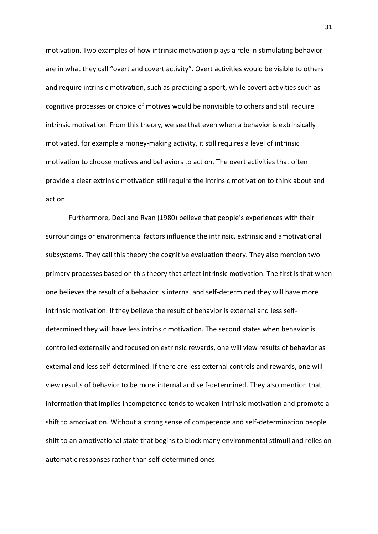motivation. Two examples of how intrinsic motivation plays a role in stimulating behavior are in what they call "overt and covert activity". Overt activities would be visible to others and require intrinsic motivation, such as practicing a sport, while covert activities such as cognitive processes or choice of motives would be nonvisible to others and still require intrinsic motivation. From this theory, we see that even when a behavior is extrinsically motivated, for example a money-making activity, it still requires a level of intrinsic motivation to choose motives and behaviors to act on. The overt activities that often provide a clear extrinsic motivation still require the intrinsic motivation to think about and act on.

Furthermore, Deci and Ryan (1980) believe that people's experiences with their surroundings or environmental factors influence the intrinsic, extrinsic and amotivational subsystems. They call this theory the cognitive evaluation theory. They also mention two primary processes based on this theory that affect intrinsic motivation. The first is that when one believes the result of a behavior is internal and self-determined they will have more intrinsic motivation. If they believe the result of behavior is external and less selfdetermined they will have less intrinsic motivation. The second states when behavior is controlled externally and focused on extrinsic rewards, one will view results of behavior as external and less self-determined. If there are less external controls and rewards, one will view results of behavior to be more internal and self-determined. They also mention that information that implies incompetence tends to weaken intrinsic motivation and promote a shift to amotivation. Without a strong sense of competence and self-determination people shift to an amotivational state that begins to block many environmental stimuli and relies on automatic responses rather than self-determined ones.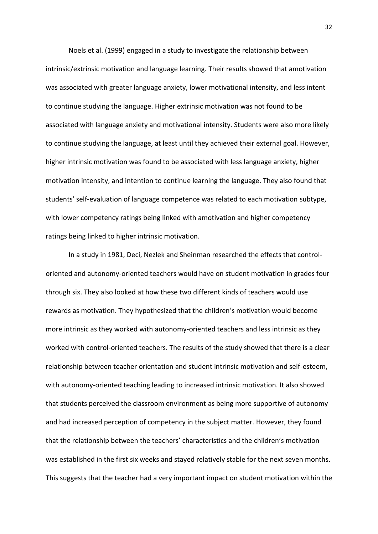Noels et al. (1999) engaged in a study to investigate the relationship between intrinsic/extrinsic motivation and language learning. Their results showed that amotivation was associated with greater language anxiety, lower motivational intensity, and less intent to continue studying the language. Higher extrinsic motivation was not found to be associated with language anxiety and motivational intensity. Students were also more likely to continue studying the language, at least until they achieved their external goal. However, higher intrinsic motivation was found to be associated with less language anxiety, higher motivation intensity, and intention to continue learning the language. They also found that students' self-evaluation of language competence was related to each motivation subtype, with lower competency ratings being linked with amotivation and higher competency ratings being linked to higher intrinsic motivation.

In a study in 1981, Deci, Nezlek and Sheinman researched the effects that controloriented and autonomy-oriented teachers would have on student motivation in grades four through six. They also looked at how these two different kinds of teachers would use rewards as motivation. They hypothesized that the children's motivation would become more intrinsic as they worked with autonomy-oriented teachers and less intrinsic as they worked with control-oriented teachers. The results of the study showed that there is a clear relationship between teacher orientation and student intrinsic motivation and self-esteem, with autonomy-oriented teaching leading to increased intrinsic motivation. It also showed that students perceived the classroom environment as being more supportive of autonomy and had increased perception of competency in the subject matter. However, they found that the relationship between the teachers' characteristics and the children's motivation was established in the first six weeks and stayed relatively stable for the next seven months. This suggests that the teacher had a very important impact on student motivation within the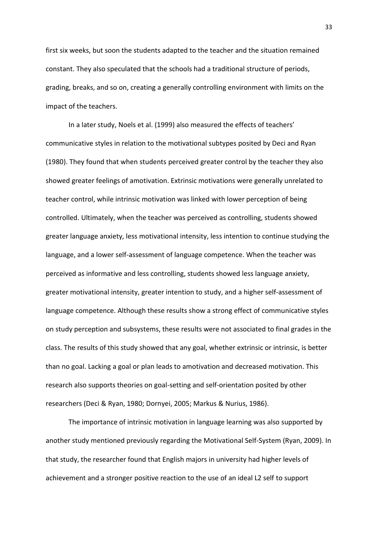first six weeks, but soon the students adapted to the teacher and the situation remained constant. They also speculated that the schools had a traditional structure of periods, grading, breaks, and so on, creating a generally controlling environment with limits on the impact of the teachers.

In a later study, Noels et al. (1999) also measured the effects of teachers' communicative styles in relation to the motivational subtypes posited by Deci and Ryan (1980). They found that when students perceived greater control by the teacher they also showed greater feelings of amotivation. Extrinsic motivations were generally unrelated to teacher control, while intrinsic motivation was linked with lower perception of being controlled. Ultimately, when the teacher was perceived as controlling, students showed greater language anxiety, less motivational intensity, less intention to continue studying the language, and a lower self-assessment of language competence. When the teacher was perceived as informative and less controlling, students showed less language anxiety, greater motivational intensity, greater intention to study, and a higher self-assessment of language competence. Although these results show a strong effect of communicative styles on study perception and subsystems, these results were not associated to final grades in the class. The results of this study showed that any goal, whether extrinsic or intrinsic, is better than no goal. Lacking a goal or plan leads to amotivation and decreased motivation. This research also supports theories on goal-setting and self-orientation posited by other researchers (Deci & Ryan, 1980; Dornyei, 2005; Markus & Nurius, 1986).

The importance of intrinsic motivation in language learning was also supported by another study mentioned previously regarding the Motivational Self-System (Ryan, 2009). In that study, the researcher found that English majors in university had higher levels of achievement and a stronger positive reaction to the use of an ideal L2 self to support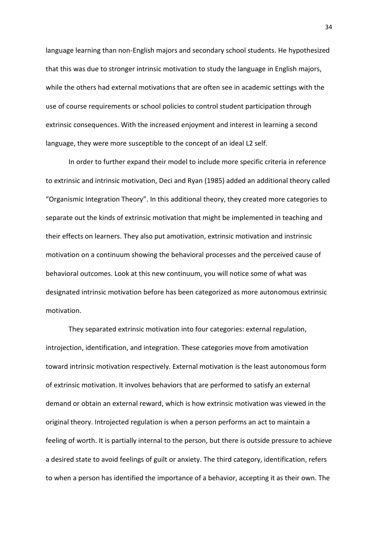language learning than non-English majors and secondary school students. He hypothesized that this was due to stronger intrinsic motivation to study the language in English majors, while the others had external motivations that are often see in academic settings with the use of course requirements or school policies to control student participation through extrinsic consequences. With the increased enjoyment and interest in learning a second language, they were more susceptible to the concept of an ideal L2 self.

In order to further expand their model to include more specific criteria in reference to extrinsic and intrinsic motivation, Deci and Ryan (1985) added an additional theory called "Organismic Integration Theory". In this additional theory, they created more categories to separate out the kinds of extrinsic motivation that might be implemented in teaching and their effects on learners. They also put amotivation, extrinsic motivation and instrinsic motivation on a continuum showing the behavioral processes and the perceived cause of behavioral outcomes. Look at this new continuum, you will notice some of what was designated intrinsic motivation before has been categorized as more autonomous extrinsic motivation.

They separated extrinsic motivation into four categories: external regulation, introjection, identification, and integration. These categories move from amotivation toward intrinsic motivation respectively. External motivation is the least autonomous form of extrinsic motivation. It involves behaviors that are performed to satisfy an external demand or obtain an external reward, which is how extrinsic motivation was viewed in the original theory. Introjected regulation is when a person performs an act to maintain a feeling of worth. It is partially internal to the person, but there is outside pressure to achieve a desired state to avoid feelings of guilt or anxiety. The third category, identification, refers to when a person has identified the importance of a behavior, accepting it as their own. The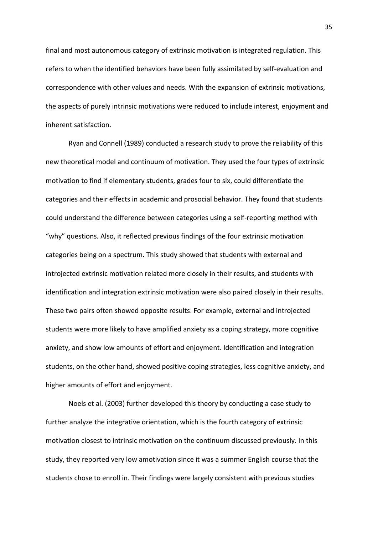final and most autonomous category of extrinsic motivation is integrated regulation. This refers to when the identified behaviors have been fully assimilated by self-evaluation and correspondence with other values and needs. With the expansion of extrinsic motivations, the aspects of purely intrinsic motivations were reduced to include interest, enjoyment and inherent satisfaction.

Ryan and Connell (1989) conducted a research study to prove the reliability of this new theoretical model and continuum of motivation. They used the four types of extrinsic motivation to find if elementary students, grades four to six, could differentiate the categories and their effects in academic and prosocial behavior. They found that students could understand the difference between categories using a self-reporting method with "why" questions. Also, it reflected previous findings of the four extrinsic motivation categories being on a spectrum. This study showed that students with external and introjected extrinsic motivation related more closely in their results, and students with identification and integration extrinsic motivation were also paired closely in their results. These two pairs often showed opposite results. For example, external and introjected students were more likely to have amplified anxiety as a coping strategy, more cognitive anxiety, and show low amounts of effort and enjoyment. Identification and integration students, on the other hand, showed positive coping strategies, less cognitive anxiety, and higher amounts of effort and enjoyment.

Noels et al. (2003) further developed this theory by conducting a case study to further analyze the integrative orientation, which is the fourth category of extrinsic motivation closest to intrinsic motivation on the continuum discussed previously. In this study, they reported very low amotivation since it was a summer English course that the students chose to enroll in. Their findings were largely consistent with previous studies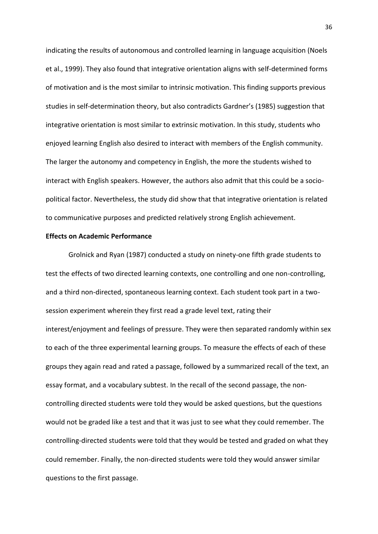indicating the results of autonomous and controlled learning in language acquisition (Noels et al., 1999). They also found that integrative orientation aligns with self-determined forms of motivation and is the most similar to intrinsic motivation. This finding supports previous studies in self-determination theory, but also contradicts Gardner's (1985) suggestion that integrative orientation is most similar to extrinsic motivation. In this study, students who enjoyed learning English also desired to interact with members of the English community. The larger the autonomy and competency in English, the more the students wished to interact with English speakers. However, the authors also admit that this could be a sociopolitical factor. Nevertheless, the study did show that that integrative orientation is related to communicative purposes and predicted relatively strong English achievement.

#### <span id="page-36-0"></span>**Effects on Academic Performance**

Grolnick and Ryan (1987) conducted a study on ninety-one fifth grade students to test the effects of two directed learning contexts, one controlling and one non-controlling, and a third non-directed, spontaneous learning context. Each student took part in a twosession experiment wherein they first read a grade level text, rating their interest/enjoyment and feelings of pressure. They were then separated randomly within sex to each of the three experimental learning groups. To measure the effects of each of these groups they again read and rated a passage, followed by a summarized recall of the text, an essay format, and a vocabulary subtest. In the recall of the second passage, the noncontrolling directed students were told they would be asked questions, but the questions would not be graded like a test and that it was just to see what they could remember. The controlling-directed students were told that they would be tested and graded on what they could remember. Finally, the non-directed students were told they would answer similar questions to the first passage.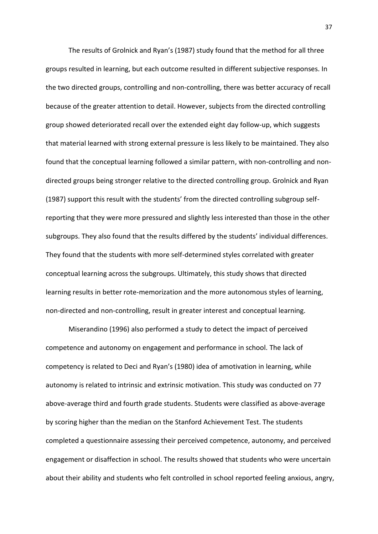The results of Grolnick and Ryan's (1987) study found that the method for all three groups resulted in learning, but each outcome resulted in different subjective responses. In the two directed groups, controlling and non-controlling, there was better accuracy of recall because of the greater attention to detail. However, subjects from the directed controlling group showed deteriorated recall over the extended eight day follow-up, which suggests that material learned with strong external pressure is less likely to be maintained. They also found that the conceptual learning followed a similar pattern, with non-controlling and nondirected groups being stronger relative to the directed controlling group. Grolnick and Ryan (1987) support this result with the students' from the directed controlling subgroup selfreporting that they were more pressured and slightly less interested than those in the other subgroups. They also found that the results differed by the students' individual differences. They found that the students with more self-determined styles correlated with greater conceptual learning across the subgroups. Ultimately, this study shows that directed learning results in better rote-memorization and the more autonomous styles of learning, non-directed and non-controlling, result in greater interest and conceptual learning.

 Miserandino (1996) also performed a study to detect the impact of perceived competence and autonomy on engagement and performance in school. The lack of competency is related to Deci and Ryan's (1980) idea of amotivation in learning, while autonomy is related to intrinsic and extrinsic motivation. This study was conducted on 77 above-average third and fourth grade students. Students were classified as above-average by scoring higher than the median on the Stanford Achievement Test. The students completed a questionnaire assessing their perceived competence, autonomy, and perceived engagement or disaffection in school. The results showed that students who were uncertain about their ability and students who felt controlled in school reported feeling anxious, angry,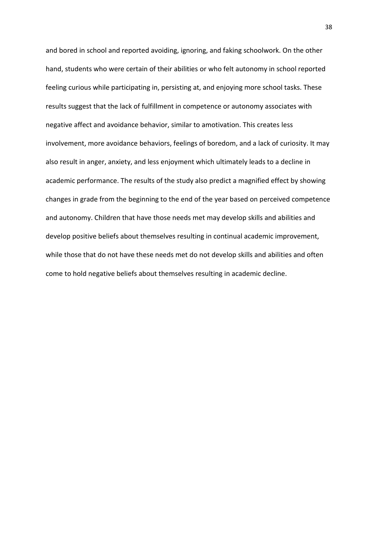and bored in school and reported avoiding, ignoring, and faking schoolwork. On the other hand, students who were certain of their abilities or who felt autonomy in school reported feeling curious while participating in, persisting at, and enjoying more school tasks. These results suggest that the lack of fulfillment in competence or autonomy associates with negative affect and avoidance behavior, similar to amotivation. This creates less involvement, more avoidance behaviors, feelings of boredom, and a lack of curiosity. It may also result in anger, anxiety, and less enjoyment which ultimately leads to a decline in academic performance. The results of the study also predict a magnified effect by showing changes in grade from the beginning to the end of the year based on perceived competence and autonomy. Children that have those needs met may develop skills and abilities and develop positive beliefs about themselves resulting in continual academic improvement, while those that do not have these needs met do not develop skills and abilities and often come to hold negative beliefs about themselves resulting in academic decline.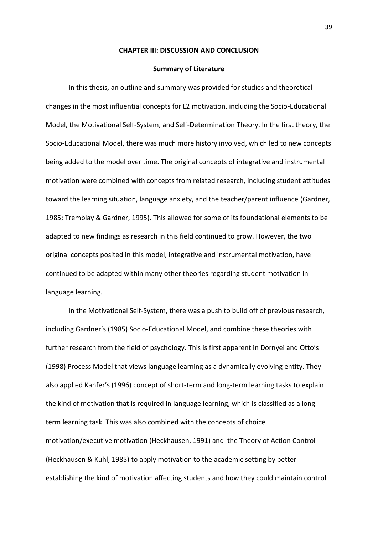#### **CHAPTER III: DISCUSSION AND CONCLUSION**

#### **Summary of Literature**

<span id="page-39-1"></span><span id="page-39-0"></span>In this thesis, an outline and summary was provided for studies and theoretical changes in the most influential concepts for L2 motivation, including the Socio-Educational Model, the Motivational Self-System, and Self-Determination Theory. In the first theory, the Socio-Educational Model, there was much more history involved, which led to new concepts being added to the model over time. The original concepts of integrative and instrumental motivation were combined with concepts from related research, including student attitudes toward the learning situation, language anxiety, and the teacher/parent influence (Gardner, 1985; Tremblay & Gardner, 1995). This allowed for some of its foundational elements to be adapted to new findings as research in this field continued to grow. However, the two original concepts posited in this model, integrative and instrumental motivation, have continued to be adapted within many other theories regarding student motivation in language learning.

In the Motivational Self-System, there was a push to build off of previous research, including Gardner's (1985) Socio-Educational Model, and combine these theories with further research from the field of psychology. This is first apparent in Dornyei and Otto's (1998) Process Model that views language learning as a dynamically evolving entity. They also applied Kanfer's (1996) concept of short-term and long-term learning tasks to explain the kind of motivation that is required in language learning, which is classified as a longterm learning task. This was also combined with the concepts of choice motivation/executive motivation (Heckhausen, 1991) and the Theory of Action Control (Heckhausen & Kuhl, 1985) to apply motivation to the academic setting by better establishing the kind of motivation affecting students and how they could maintain control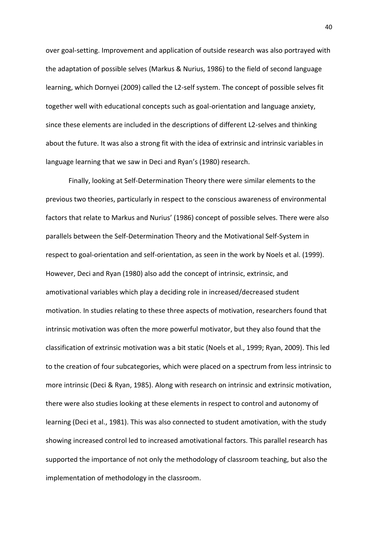over goal-setting. Improvement and application of outside research was also portrayed with the adaptation of possible selves (Markus & Nurius, 1986) to the field of second language learning, which Dornyei (2009) called the L2-self system. The concept of possible selves fit together well with educational concepts such as goal-orientation and language anxiety, since these elements are included in the descriptions of different L2-selves and thinking about the future. It was also a strong fit with the idea of extrinsic and intrinsic variables in language learning that we saw in Deci and Ryan's (1980) research.

 Finally, looking at Self-Determination Theory there were similar elements to the previous two theories, particularly in respect to the conscious awareness of environmental factors that relate to Markus and Nurius' (1986) concept of possible selves. There were also parallels between the Self-Determination Theory and the Motivational Self-System in respect to goal-orientation and self-orientation, as seen in the work by Noels et al. (1999). However, Deci and Ryan (1980) also add the concept of intrinsic, extrinsic, and amotivational variables which play a deciding role in increased/decreased student motivation. In studies relating to these three aspects of motivation, researchers found that intrinsic motivation was often the more powerful motivator, but they also found that the classification of extrinsic motivation was a bit static (Noels et al., 1999; Ryan, 2009). This led to the creation of four subcategories, which were placed on a spectrum from less intrinsic to more intrinsic (Deci & Ryan, 1985). Along with research on intrinsic and extrinsic motivation, there were also studies looking at these elements in respect to control and autonomy of learning (Deci et al., 1981). This was also connected to student amotivation, with the study showing increased control led to increased amotivational factors. This parallel research has supported the importance of not only the methodology of classroom teaching, but also the implementation of methodology in the classroom.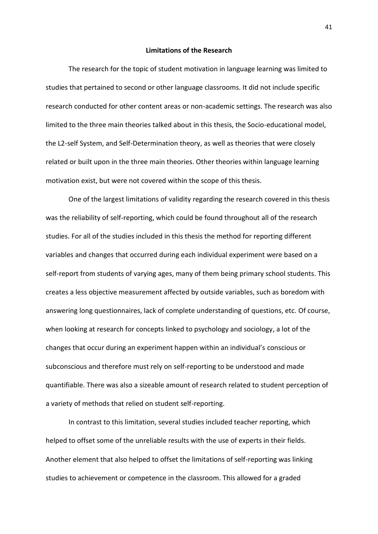#### **Limitations of the Research**

<span id="page-41-0"></span> The research for the topic of student motivation in language learning was limited to studies that pertained to second or other language classrooms. It did not include specific research conducted for other content areas or non-academic settings. The research was also limited to the three main theories talked about in this thesis, the Socio-educational model, the L2-self System, and Self-Determination theory, as well as theories that were closely related or built upon in the three main theories. Other theories within language learning motivation exist, but were not covered within the scope of this thesis.

One of the largest limitations of validity regarding the research covered in this thesis was the reliability of self-reporting, which could be found throughout all of the research studies. For all of the studies included in this thesis the method for reporting different variables and changes that occurred during each individual experiment were based on a self-report from students of varying ages, many of them being primary school students. This creates a less objective measurement affected by outside variables, such as boredom with answering long questionnaires, lack of complete understanding of questions, etc. Of course, when looking at research for concepts linked to psychology and sociology, a lot of the changes that occur during an experiment happen within an individual's conscious or subconscious and therefore must rely on self-reporting to be understood and made quantifiable. There was also a sizeable amount of research related to student perception of a variety of methods that relied on student self-reporting.

 In contrast to this limitation, several studies included teacher reporting, which helped to offset some of the unreliable results with the use of experts in their fields. Another element that also helped to offset the limitations of self-reporting was linking studies to achievement or competence in the classroom. This allowed for a graded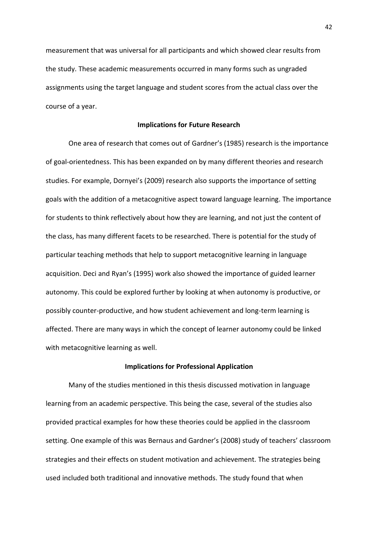measurement that was universal for all participants and which showed clear results from the study. These academic measurements occurred in many forms such as ungraded assignments using the target language and student scores from the actual class over the course of a year.

#### **Implications for Future Research**

<span id="page-42-0"></span> One area of research that comes out of Gardner's (1985) research is the importance of goal-orientedness. This has been expanded on by many different theories and research studies. For example, Dornyei's (2009) research also supports the importance of setting goals with the addition of a metacognitive aspect toward language learning. The importance for students to think reflectively about how they are learning, and not just the content of the class, has many different facets to be researched. There is potential for the study of particular teaching methods that help to support metacognitive learning in language acquisition. Deci and Ryan's (1995) work also showed the importance of guided learner autonomy. This could be explored further by looking at when autonomy is productive, or possibly counter-productive, and how student achievement and long-term learning is affected. There are many ways in which the concept of learner autonomy could be linked with metacognitive learning as well.

### **Implications for Professional Application**

<span id="page-42-1"></span> Many of the studies mentioned in this thesis discussed motivation in language learning from an academic perspective. This being the case, several of the studies also provided practical examples for how these theories could be applied in the classroom setting. One example of this was Bernaus and Gardner's (2008) study of teachers' classroom strategies and their effects on student motivation and achievement. The strategies being used included both traditional and innovative methods. The study found that when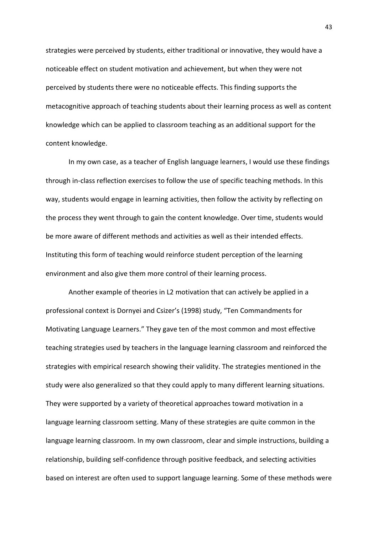strategies were perceived by students, either traditional or innovative, they would have a noticeable effect on student motivation and achievement, but when they were not perceived by students there were no noticeable effects. This finding supports the metacognitive approach of teaching students about their learning process as well as content knowledge which can be applied to classroom teaching as an additional support for the content knowledge.

In my own case, as a teacher of English language learners, I would use these findings through in-class reflection exercises to follow the use of specific teaching methods. In this way, students would engage in learning activities, then follow the activity by reflecting on the process they went through to gain the content knowledge. Over time, students would be more aware of different methods and activities as well as their intended effects. Instituting this form of teaching would reinforce student perception of the learning environment and also give them more control of their learning process.

Another example of theories in L2 motivation that can actively be applied in a professional context is Dornyei and Csizer's (1998) study, "Ten Commandments for Motivating Language Learners." They gave ten of the most common and most effective teaching strategies used by teachers in the language learning classroom and reinforced the strategies with empirical research showing their validity. The strategies mentioned in the study were also generalized so that they could apply to many different learning situations. They were supported by a variety of theoretical approaches toward motivation in a language learning classroom setting. Many of these strategies are quite common in the language learning classroom. In my own classroom, clear and simple instructions, building a relationship, building self-confidence through positive feedback, and selecting activities based on interest are often used to support language learning. Some of these methods were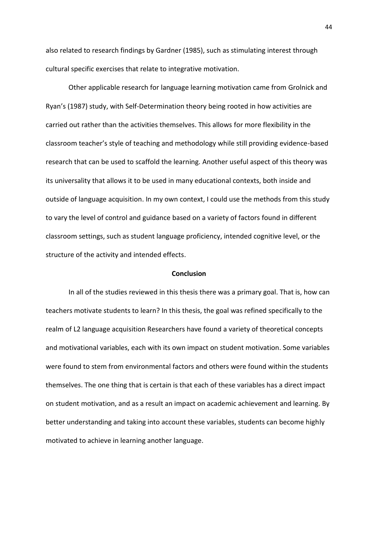also related to research findings by Gardner (1985), such as stimulating interest through cultural specific exercises that relate to integrative motivation.

Other applicable research for language learning motivation came from Grolnick and Ryan's (1987) study, with Self-Determination theory being rooted in how activities are carried out rather than the activities themselves. This allows for more flexibility in the classroom teacher's style of teaching and methodology while still providing evidence-based research that can be used to scaffold the learning. Another useful aspect of this theory was its universality that allows it to be used in many educational contexts, both inside and outside of language acquisition. In my own context, I could use the methods from this study to vary the level of control and guidance based on a variety of factors found in different classroom settings, such as student language proficiency, intended cognitive level, or the structure of the activity and intended effects.

#### **Conclusion**

<span id="page-44-0"></span>In all of the studies reviewed in this thesis there was a primary goal. That is, how can teachers motivate students to learn? In this thesis, the goal was refined specifically to the realm of L2 language acquisition Researchers have found a variety of theoretical concepts and motivational variables, each with its own impact on student motivation. Some variables were found to stem from environmental factors and others were found within the students themselves. The one thing that is certain is that each of these variables has a direct impact on student motivation, and as a result an impact on academic achievement and learning. By better understanding and taking into account these variables, students can become highly motivated to achieve in learning another language.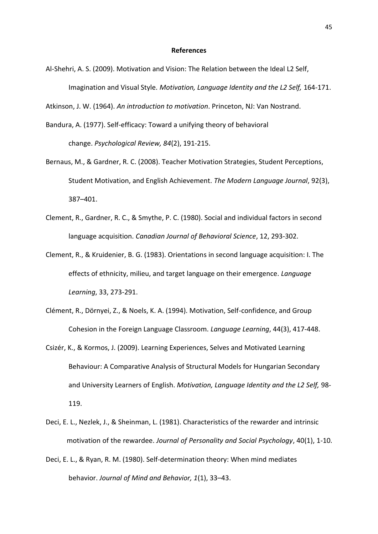#### **References**

<span id="page-45-0"></span>Al-Shehri, A. S. (2009). Motivation and Vision: The Relation between the Ideal L2 Self, Imagination and Visual Style. *Motivation, Language Identity and the L2 Self,* 164-171.

Atkinson, J. W. (1964). *An introduction to motivation*. Princeton, NJ: Van Nostrand.

- Bandura, A. (1977). Self-efficacy: Toward a unifying theory of behavioral change. *Psychological Review, 84*(2), 191-215.
- Bernaus, M., & Gardner, R. C. (2008). Teacher Motivation Strategies, Student Perceptions, Student Motivation, and English Achievement. *The Modern Language Journal*, 92(3), 387–401.
- Clement, R., Gardner, R. C., & Smythe, P. C. (1980). Social and individual factors in second language acquisition. *Canadian Journal of Behavioral Science*, 12, 293-302.
- Clement, R., & Kruidenier, B. G. (1983). Orientations in second language acquisition: I. The effects of ethnicity, milieu, and target language on their emergence. *Language Learning*, 33, 273-291.
- Clément, R., Dörnyei, Z., & Noels, K. A. (1994). Motivation, Self-confidence, and Group Cohesion in the Foreign Language Classroom. *Language Learning*, 44(3), 417-448.
- Csizér, K., & Kormos, J. (2009). Learning Experiences, Selves and Motivated Learning Behaviour: A Comparative Analysis of Structural Models for Hungarian Secondary and University Learners of English. *Motivation, Language Identity and the L2 Self,* 98- 119.
- Deci, E. L., Nezlek, J., & Sheinman, L. (1981). Characteristics of the rewarder and intrinsic motivation of the rewardee. *Journal of Personality and Social Psychology*, 40(1), 1-10.
- Deci, E. L., & Ryan, R. M. (1980). Self-determination theory: When mind mediates behavior. *Journal of Mind and Behavior, 1*(1), 33–43.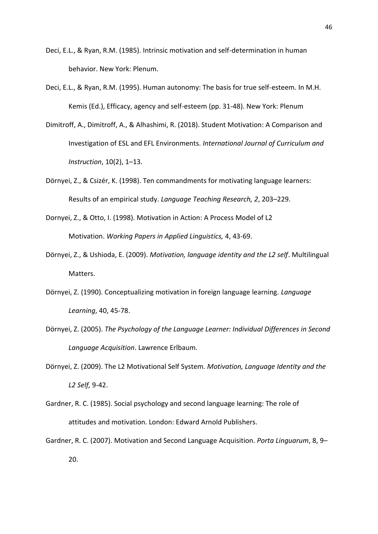- Deci, E.L., & Ryan, R.M. (1985). Intrinsic motivation and self-determination in human behavior. New York: Plenum.
- Deci, E.L., & Ryan, R.M. (1995). Human autonomy: The basis for true self-esteem. In M.H. Kemis (Ed.), Efficacy, agency and self-esteem (pp. 31-48). New York: Plenum
- Dimitroff, A., Dimitroff, A., & Alhashimi, R. (2018). Student Motivation: A Comparison and Investigation of ESL and EFL Environments. *International Journal of Curriculum and Instruction*, 10(2), 1–13.
- Dörnyei, Z., & Csizér, K. (1998). Ten commandments for motivating language learners: Results of an empirical study. *Language Teaching Research, 2*, 203–229.
- Dornyei, Z., & Otto, I. (1998). Motivation in Action: A Process Model of L2 Motivation. *Working Papers in Applied Linguistics,* 4, 43-69.
- Dornyei, Z., & Ushioda, E. (2009). *Motivation, language identity and the L2 self*. Multilingual Matters.
- Dörnyei, Z. (1990). Conceptualizing motivation in foreign language learning. *Language Learning*, 40, 45-78.
- Dörnyei, Z. (2005). *The Psychology of the Language Learner: Individual Differences in Second Language Acquisition*. Lawrence Erlbaum.
- Dörnyei, Z. (2009). The L2 Motivational Self System. *Motivation, Language Identity and the L2 Self,* 9-42.
- Gardner, R. C. (1985). Social psychology and second language learning: The role of attitudes and motivation. London: Edward Arnold Publishers.
- Gardner, R. C. (2007). Motivation and Second Language Acquisition. *Porta Linguarum*, 8, 9– 20.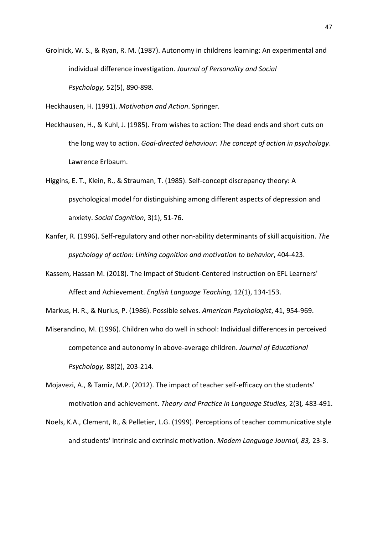Grolnick, W. S., & Ryan, R. M. (1987). Autonomy in childrens learning: An experimental and individual difference investigation. *Journal of Personality and Social Psychology,* 52(5), 890-898.

Heckhausen, H. (1991). *Motivation and Action*. Springer.

- Heckhausen, H., & Kuhl, J. (1985). From wishes to action: The dead ends and short cuts on the long way to action. *Goal-directed behaviour: The concept of action in psychology*. Lawrence Erlbaum.
- Higgins, E. T., Klein, R., & Strauman, T. (1985). Self-concept discrepancy theory: A psychological model for distinguishing among different aspects of depression and anxiety. *Social Cognition*, 3(1), 51-76.
- Kanfer, R. (1996). Self-regulatory and other non-ability determinants of skill acquisition. *The psychology of action: Linking cognition and motivation to behavior*, 404-423.
- Kassem, Hassan M. (2018). The Impact of Student-Centered Instruction on EFL Learners' Affect and Achievement. *English Language Teaching,* 12(1), 134-153.

Markus, H. R., & Nurius, P. (1986). Possible selves. *American Psychologist*, 41, 954-969.

- Miserandino, M. (1996). Children who do well in school: Individual differences in perceived competence and autonomy in above-average children. *Journal of Educational Psychology,* 88(2), 203-214.
- Mojavezi, A., & Tamiz, M.P. (2012). The impact of teacher self-efficacy on the students' motivation and achievement. *Theory and Practice in Language Studies,* 2(3)*,* 483-491.
- Noels, K.A., Clement, R., & Pelletier, L.G. (1999). Perceptions of teacher communicative style and students' intrinsic and extrinsic motivation. *Modem Language Journal, 83,* 23-3.